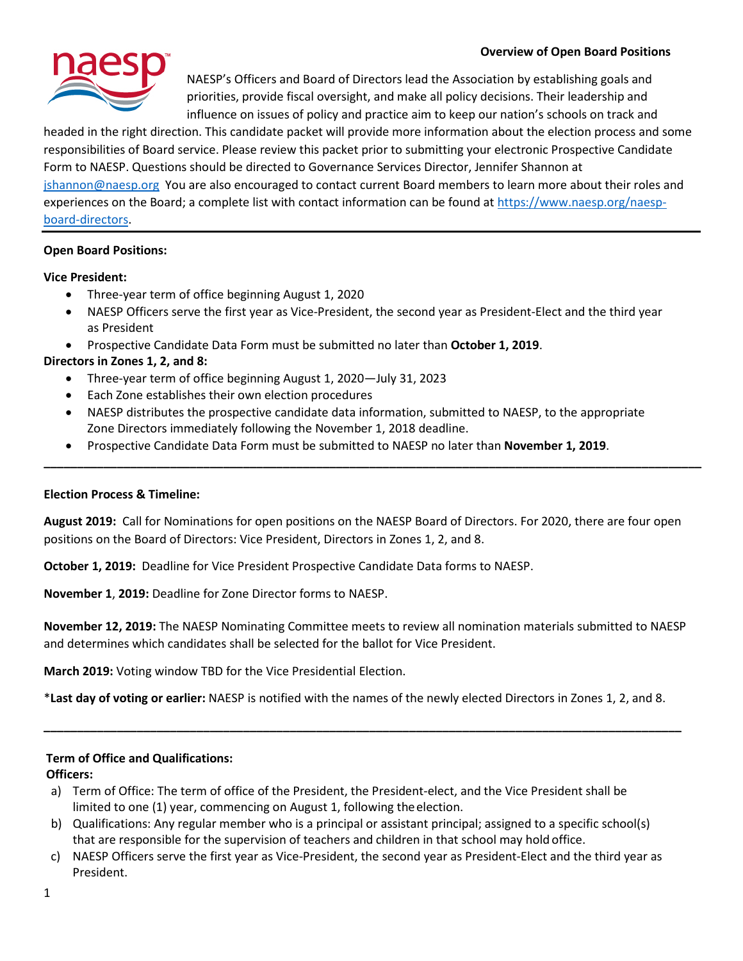

NAESP's Officers and Board of Directors lead the Association by establishing goals and priorities, provide fiscal oversight, and make all policy decisions. Their leadership and influence on issues of policy and practice aim to keep our nation's schools on track and

headed in the right direction. This candidate packet will provide more information about the election process and some responsibilities of Board service. Please review this packet prior to submitting your electronic Prospective Candidate Form to NAESP. Questions should be directed to Governance Services Director, Jennifer Shannon at [jshannon@naesp.org](mailto:jshannon@naesp.org) You are also encouraged to contact current Board members to learn more about their roles and experiences on the Board; a complete list with contact information can be found at [https://www.naesp.org/naesp](https://www.naesp.org/naesp-board-directors)[board-directors.](https://www.naesp.org/naesp-board-directors)

# **Open Board Positions:**

### **Vice President:**

- Three-year term of office beginning August 1, 2020
- NAESP Officers serve the first year as Vice-President, the second year as President-Elect and the third year as President
- Prospective Candidate Data Form must be submitted no later than **October 1, 2019**.

## **Directors in Zones 1, 2, and 8:**

- Three-year term of office beginning August 1, 2020—July 31, 2023
- Each Zone establishes their own election procedures
- NAESP distributes the prospective candidate data information, submitted to NAESP, to the appropriate Zone Directors immediately following the November 1, 2018 deadline.
- Prospective Candidate Data Form must be submitted to NAESP no later than **November 1, 2019**.

### **Election Process & Timeline:**

**August 2019:** Call for Nominations for open positions on the NAESP Board of Directors. For 2020, there are four open positions on the Board of Directors: Vice President, Directors in Zones 1, 2, and 8.

**\_\_\_\_\_\_\_\_\_\_\_\_\_\_\_\_\_\_\_\_\_\_\_\_\_\_\_\_\_\_\_\_\_\_\_\_\_\_\_\_\_\_\_\_\_\_\_\_\_\_\_\_\_\_\_\_\_\_\_\_\_\_\_\_\_\_\_\_\_\_\_\_\_\_\_\_\_\_\_\_\_\_\_\_\_\_\_\_\_\_\_\_\_\_\_\_\_\_\_**

**October 1, 2019:** Deadline for Vice President Prospective Candidate Data forms to NAESP.

**November 1**, **2019:** Deadline for Zone Director forms to NAESP.

**November 12, 2019:** The NAESP Nominating Committee meets to review all nomination materials submitted to NAESP and determines which candidates shall be selected for the ballot for Vice President.

**March 2019:** Voting window TBD for the Vice Presidential Election.

\***Last day of voting or earlier:** NAESP is notified with the names of the newly elected Directors in Zones 1, 2, and 8.

**\_\_\_\_\_\_\_\_\_\_\_\_\_\_\_\_\_\_\_\_\_\_\_\_\_\_\_\_\_\_\_\_\_\_\_\_\_\_\_\_\_\_\_\_\_\_\_\_\_\_\_\_\_\_\_\_\_\_\_\_\_\_\_\_\_\_\_\_\_\_\_\_\_\_\_\_\_\_\_\_\_\_\_\_\_\_\_\_\_\_\_\_\_\_\_\_**

### **Term of Office and Qualifications:**

**Officers:**

- a) Term of Office: The term of office of the President, the President-elect, and the Vice President shall be limited to one (1) year, commencing on August 1, following theelection.
- b) Qualifications: Any regular member who is a principal or assistant principal; assigned to a specific school(s) that are responsible for the supervision of teachers and children in that school may hold office.
- c) NAESP Officers serve the first year as Vice-President, the second year as President-Elect and the third year as President.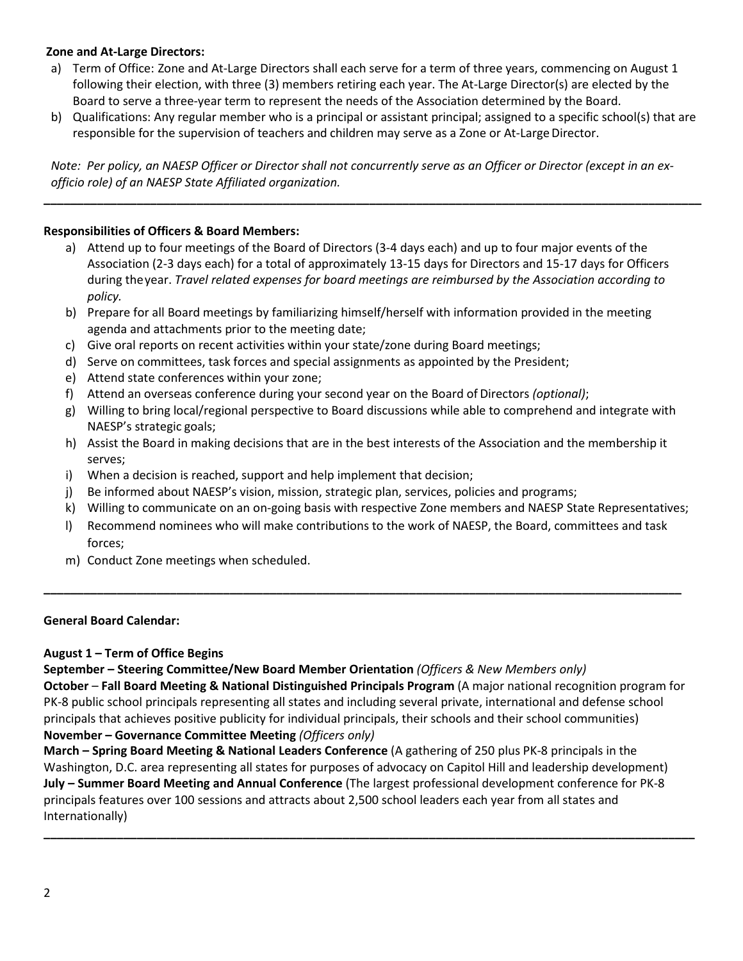## **Zone and At-Large Directors:**

- a) Term of Office: Zone and At-Large Directors shall each serve for a term of three years, commencing on August 1 following their election, with three (3) members retiring each year. The At-Large Director(s) are elected by the Board to serve a three-year term to represent the needs of the Association determined by the Board.
- b) Qualifications: Any regular member who is a principal or assistant principal; assigned to a specific school(s) that are responsible for the supervision of teachers and children may serve as a Zone or At-Large Director.

*Note: Per policy, an NAESP Officer or Director shall not concurrently serve as an Officer or Director (except in an exofficio role) of an NAESP State Affiliated organization.* 

**\_\_\_\_\_\_\_\_\_\_\_\_\_\_\_\_\_\_\_\_\_\_\_\_\_\_\_\_\_\_\_\_\_\_\_\_\_\_\_\_\_\_\_\_\_\_\_\_\_\_\_\_\_\_\_\_\_\_\_\_\_\_\_\_\_\_\_\_\_\_\_\_\_\_\_\_\_\_\_\_\_\_\_\_\_\_\_\_\_\_\_\_\_\_\_\_\_\_\_**

## **Responsibilities of Officers & Board Members:**

- a) Attend up to four meetings of the Board of Directors (3-4 days each) and up to four major events of the Association (2-3 days each) for a total of approximately 13-15 days for Directors and 15-17 days for Officers during theyear. *Travel related expenses for board meetings are reimbursed by the Association according to policy.*
- b) Prepare for all Board meetings by familiarizing himself/herself with information provided in the meeting agenda and attachments prior to the meeting date;
- c) Give oral reports on recent activities within your state/zone during Board meetings;
- d) Serve on committees, task forces and special assignments as appointed by the President;
- e) Attend state conferences within your zone;
- f) Attend an overseas conference during your second year on the Board of Directors *(optional)*;
- g) Willing to bring local/regional perspective to Board discussions while able to comprehend and integrate with NAESP's strategic goals;
- h) Assist the Board in making decisions that are in the best interests of the Association and the membership it serves;
- i) When a decision is reached, support and help implement that decision;
- j) Be informed about NAESP's vision, mission, strategic plan, services, policies and programs;
- k) Willing to communicate on an on-going basis with respective Zone members and NAESP State Representatives;
- l) Recommend nominees who will make contributions to the work of NAESP, the Board, committees and task forces;

**\_\_\_\_\_\_\_\_\_\_\_\_\_\_\_\_\_\_\_\_\_\_\_\_\_\_\_\_\_\_\_\_\_\_\_\_\_\_\_\_\_\_\_\_\_\_\_\_\_\_\_\_\_\_\_\_\_\_\_\_\_\_\_\_\_\_\_\_\_\_\_\_\_\_\_\_\_\_\_\_\_\_\_\_\_\_\_\_\_\_\_\_\_\_\_\_**

m) Conduct Zone meetings when scheduled.

### **General Board Calendar:**

### **August 1 – Term of Office Begins**

**September – Steering Committee/New Board Member Orientation** *(Officers & New Members only)* **October** – **Fall Board Meeting & National Distinguished Principals Program** (A major national recognition program for PK-8 public school principals representing all states and including several private, international and defense school principals that achieves positive publicity for individual principals, their schools and their school communities) **November – Governance Committee Meeting** *(Officers only)*

**March – Spring Board Meeting & National Leaders Conference** (A gathering of 250 plus PK-8 principals in the Washington, D.C. area representing all states for purposes of advocacy on Capitol Hill and leadership development) **July – Summer Board Meeting and Annual Conference** (The largest professional development conference for PK-8 principals features over 100 sessions and attracts about 2,500 school leaders each year from all states and Internationally)

**\_\_\_\_\_\_\_\_\_\_\_\_\_\_\_\_\_\_\_\_\_\_\_\_\_\_\_\_\_\_\_\_\_\_\_\_\_\_\_\_\_\_\_\_\_\_\_\_\_\_\_\_\_\_\_\_\_\_\_\_\_\_\_\_\_\_\_\_\_\_\_\_\_\_\_\_\_\_\_\_\_\_\_\_\_\_\_\_\_\_\_\_\_\_\_\_\_\_**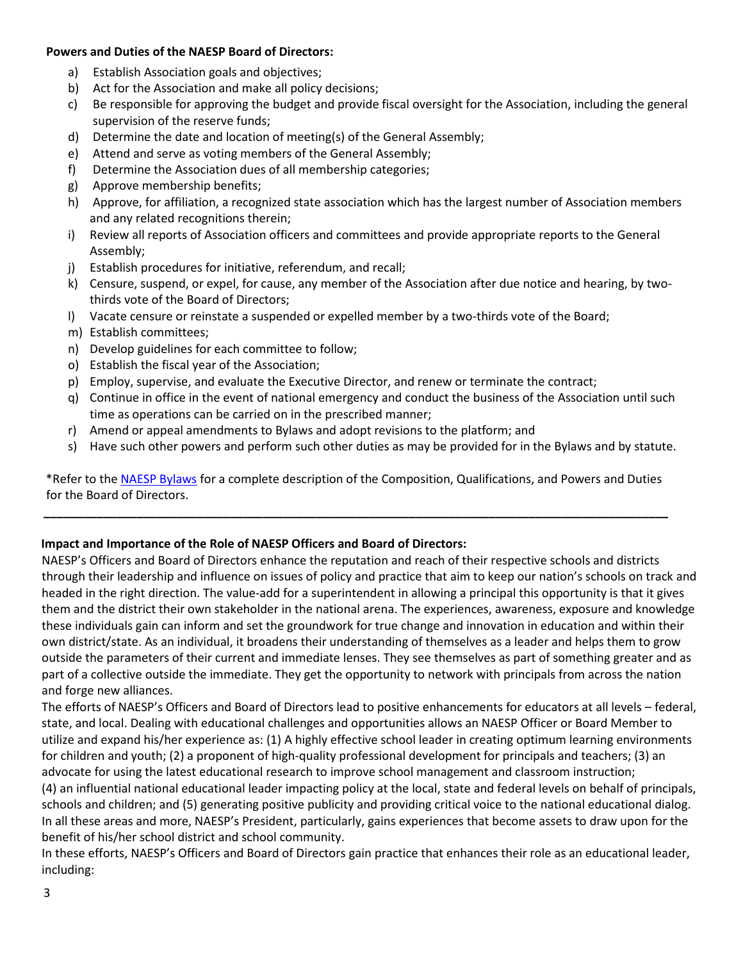### **Powers and Duties of the NAESP Board of Directors:**

- a) Establish Association goals and objectives;
- b) Act for the Association and make all policy decisions;
- c) Be responsible for approving the budget and provide fiscal oversight for the Association, including the general supervision of the reserve funds;
- d) Determine the date and location of meeting(s) of the General Assembly;
- e) Attend and serve as voting members of the General Assembly;
- f) Determine the Association dues of all membership categories;
- g) Approve membership benefits;
- h) Approve, for affiliation, a recognized state association which has the largest number of Association members and any related recognitions therein;
- i) Review all reports of Association officers and committees and provide appropriate reports to the General Assembly;
- j) Establish procedures for initiative, referendum, and recall;
- k) Censure, suspend, or expel, for cause, any member of the Association after due notice and hearing, by twothirds vote of the Board of Directors;
- l) Vacate censure or reinstate a suspended or expelled member by a two-thirds vote of the Board;
- m) Establish committees;
- n) Develop guidelines for each committee to follow;
- o) Establish the fiscal year of the Association;
- p) Employ, supervise, and evaluate the Executive Director, and renew or terminate the contract;
- q) Continue in office in the event of national emergency and conduct the business of the Association until such time as operations can be carried on in the prescribed manner;
- r) Amend or appeal amendments to Bylaws and adopt revisions to the platform; and
- s) Have such other powers and perform such other duties as may be provided for in the Bylaws and by statute.

\*Refer to th[e NAESP Bylaws](https://www.naesp.org/sites/default/files/election/bylaws-amdmts-2017-10.pdf) for a complete description of the Composition, Qualifications, and Powers and Duties for the Board of Directors.

**\_\_\_\_\_\_\_\_\_\_\_\_\_\_\_\_\_\_\_\_\_\_\_\_\_\_\_\_\_\_\_\_\_\_\_\_\_\_\_\_\_\_\_\_\_\_\_\_\_\_\_\_\_\_\_\_\_\_\_\_\_\_\_\_\_\_\_\_\_\_\_\_\_\_\_\_\_\_\_\_\_\_\_\_\_\_\_\_\_\_\_\_\_\_**

# **Impact and Importance of the Role of NAESP Officers and Board of Directors:**

NAESP's Officers and Board of Directors enhance the reputation and reach of their respective schools and districts through their leadership and influence on issues of policy and practice that aim to keep our nation's schools on track and headed in the right direction. The value-add for a superintendent in allowing a principal this opportunity is that it gives them and the district their own stakeholder in the national arena. The experiences, awareness, exposure and knowledge these individuals gain can inform and set the groundwork for true change and innovation in education and within their own district/state. As an individual, it broadens their understanding of themselves as a leader and helps them to grow outside the parameters of their current and immediate lenses. They see themselves as part of something greater and as part of a collective outside the immediate. They get the opportunity to network with principals from across the nation and forge new alliances.

The efforts of NAESP's Officers and Board of Directors lead to positive enhancements for educators at all levels – federal, state, and local. Dealing with educational challenges and opportunities allows an NAESP Officer or Board Member to utilize and expand his/her experience as: (1) A highly effective school leader in creating optimum learning environments for children and youth; (2) a proponent of high-quality professional development for principals and teachers; (3) an advocate for using the latest educational research to improve school management and classroom instruction;

(4) an influential national educational leader impacting policy at the local, state and federal levels on behalf of principals, schools and children; and (5) generating positive publicity and providing critical voice to the national educational dialog. In all these areas and more, NAESP's President, particularly, gains experiences that become assets to draw upon for the benefit of his/her school district and school community.

In these efforts, NAESP's Officers and Board of Directors gain practice that enhances their role as an educational leader, including: